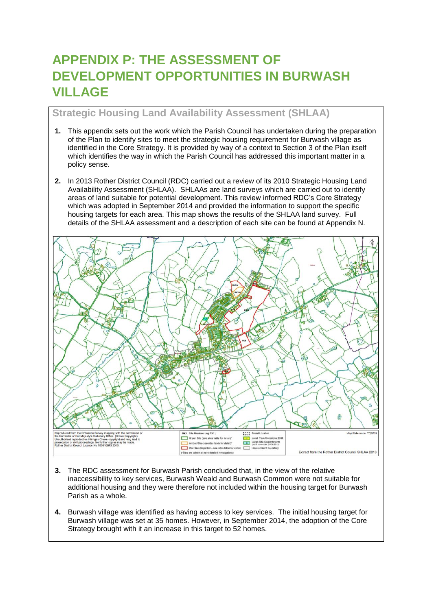# **APPENDIX P: THE ASSESSMENT OF DEVELOPMENT OPPORTUNITIES IN BURWASH VILLAGE**

# **Strategic Housing Land Availability Assessment (SHLAA)**

- **1.** This appendix sets out the work which the Parish Council has undertaken during the preparation of the Plan to identify sites to meet the strategic housing requirement for Burwash village as identified in the Core Strategy. It is provided by way of a context to Section 3 of the Plan itself which identifies the way in which the Parish Council has addressed this important matter in a policy sense.
- **2.** In 2013 Rother District Council (RDC) carried out a review of its 2010 Strategic Housing Land Availability Assessment (SHLAA). SHLAAs are land surveys which are carried out to identify areas of land suitable for potential development. This review informed RDC's Core Strategy which was adopted in September 2014 and provided the information to support the specific housing targets for each area. This map shows the results of the SHLAA land survey. Full details of the SHLAA assessment and a description of each site can be found at Appendix N.



- **3.** The RDC assessment for Burwash Parish concluded that, in the view of the relative inaccessibility to key services, Burwash Weald and Burwash Common were not suitable for additional housing and they were therefore not included within the housing target for Burwash Parish as a whole.
- **4.** Burwash village was identified as having access to key services. The initial housing target for Burwash village was set at 35 homes. However, in September 2014, the adoption of the Core Strategy brought with it an increase in this target to 52 homes.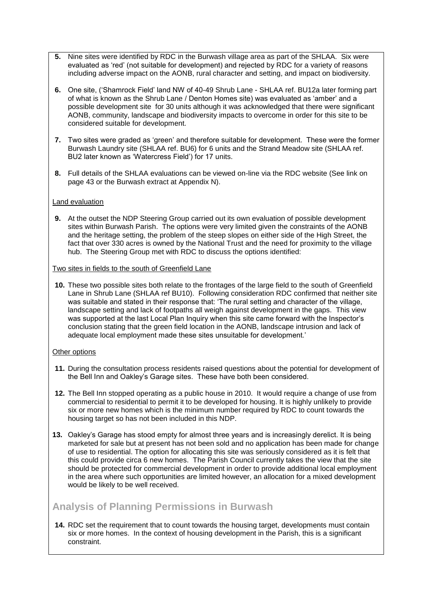- **5.** Nine sites were identified by RDC in the Burwash village area as part of the SHLAA. Six were evaluated as 'red' (not suitable for development) and rejected by RDC for a variety of reasons including adverse impact on the AONB, rural character and setting, and impact on biodiversity.
- **6.** One site, ('Shamrock Field' land NW of 40-49 Shrub Lane SHLAA ref. BU12a later forming part of what is known as the Shrub Lane / Denton Homes site) was evaluated as 'amber' and a possible development site for 30 units although it was acknowledged that there were significant AONB, community, landscape and biodiversity impacts to overcome in order for this site to be considered suitable for development.
- **7.** Two sites were graded as 'green' and therefore suitable for development. These were the former Burwash Laundry site (SHLAA ref. BU6) for 6 units and the Strand Meadow site (SHLAA ref. BU2 later known as 'Watercress Field') for 17 units.
- **8.** Full details of the SHLAA evaluations can be viewed on-line via the RDC website (See link on page 43 or the Burwash extract at Appendix N).

#### Land evaluation

**9.** At the outset the NDP Steering Group carried out its own evaluation of possible development sites within Burwash Parish. The options were very limited given the constraints of the AONB and the heritage setting, the problem of the steep slopes on either side of the High Street, the fact that over 330 acres is owned by the National Trust and the need for proximity to the village hub. The Steering Group met with RDC to discuss the options identified:

#### Two sites in fields to the south of Greenfield Lane

**10.** These two possible sites both relate to the frontages of the large field to the south of Greenfield Lane in Shrub Lane (SHLAA ref BU10). Following consideration RDC confirmed that neither site was suitable and stated in their response that: 'The rural setting and character of the village, landscape setting and lack of footpaths all weigh against development in the gaps. This view was supported at the last Local Plan Inquiry when this site came forward with the Inspector's conclusion stating that the green field location in the AONB, landscape intrusion and lack of adequate local employment made these sites unsuitable for development.'

#### Other options

- **11.** During the consultation process residents raised questions about the potential for development of the Bell Inn and Oakley's Garage sites. These have both been considered.
- **12.** The Bell Inn stopped operating as a public house in 2010. It would require a change of use from commercial to residential to permit it to be developed for housing. It is highly unlikely to provide six or more new homes which is the minimum number required by RDC to count towards the housing target so has not been included in this NDP.
- **13.** Oakley's Garage has stood empty for almost three years and is increasingly derelict. It is being marketed for sale but at present has not been sold and no application has been made for change of use to residential. The option for allocating this site was seriously considered as it is felt that this could provide circa 6 new homes. The Parish Council currently takes the view that the site should be protected for commercial development in order to provide additional local employment in the area where such opportunities are limited however, an allocation for a mixed development would be likely to be well received.

# **Analysis of Planning Permissions in Burwash**

**14.** RDC set the requirement that to count towards the housing target, developments must contain six or more homes. In the context of housing development in the Parish, this is a significant constraint.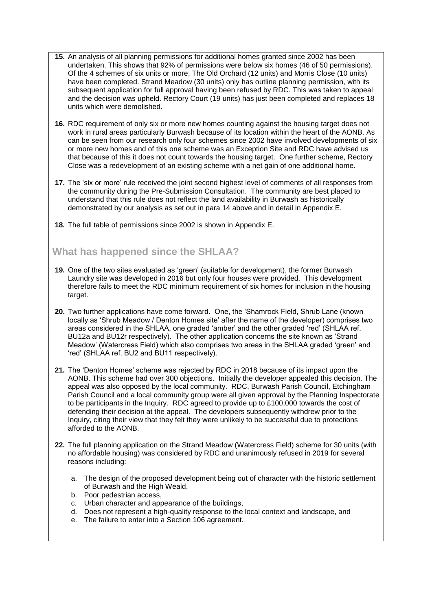- **15.** An analysis of all planning permissions for additional homes granted since 2002 has been undertaken. This shows that 92% of permissions were below six homes (46 of 50 permissions). Of the 4 schemes of six units or more, The Old Orchard (12 units) and Morris Close (10 units) have been completed. Strand Meadow (30 units) only has outline planning permission, with its subsequent application for full approval having been refused by RDC. This was taken to appeal and the decision was upheld. Rectory Court (19 units) has just been completed and replaces 18 units which were demolished.
- **16.** RDC requirement of only six or more new homes counting against the housing target does not work in rural areas particularly Burwash because of its location within the heart of the AONB. As can be seen from our research only four schemes since 2002 have involved developments of six or more new homes and of this one scheme was an Exception Site and RDC have advised us that because of this it does not count towards the housing target. One further scheme, Rectory Close was a redevelopment of an existing scheme with a net gain of one additional home.
- **17.** The 'six or more' rule received the joint second highest level of comments of all responses from the community during the Pre-Submission Consultation. The community are best placed to understand that this rule does not reflect the land availability in Burwash as historically demonstrated by our analysis as set out in para 14 above and in detail in Appendix E.
- **18.** The full table of permissions since 2002 is shown in Appendix E.

# **What has happened since the SHLAA?**

- **19.** One of the two sites evaluated as 'green' (suitable for development), the former Burwash Laundry site was developed in 2016 but only four houses were provided. This development therefore fails to meet the RDC minimum requirement of six homes for inclusion in the housing target.
- **20.** Two further applications have come forward. One, the 'Shamrock Field, Shrub Lane (known locally as 'Shrub Meadow / Denton Homes site' after the name of the developer) comprises two areas considered in the SHLAA, one graded 'amber' and the other graded 'red' (SHLAA ref. BU12a and BU12r respectively). The other application concerns the site known as 'Strand Meadow' (Watercress Field) which also comprises two areas in the SHLAA graded 'green' and 'red' (SHLAA ref. BU2 and BU11 respectively).
- **21.** The 'Denton Homes' scheme was rejected by RDC in 2018 because of its impact upon the AONB. This scheme had over 300 objections. Initially the developer appealed this decision. The appeal was also opposed by the local community. RDC, Burwash Parish Council, Etchingham Parish Council and a local community group were all given approval by the Planning Inspectorate to be participants in the Inquiry. RDC agreed to provide up to £100,000 towards the cost of defending their decision at the appeal. The developers subsequently withdrew prior to the Inquiry, citing their view that they felt they were unlikely to be successful due to protections afforded to the AONB.
- **22.** The full planning application on the Strand Meadow (Watercress Field) scheme for 30 units (with no affordable housing) was considered by RDC and unanimously refused in 2019 for several reasons including:
	- a. The design of the proposed development being out of character with the historic settlement of Burwash and the High Weald,
	- b. Poor pedestrian access,
	- c. Urban character and appearance of the buildings,
	- d. Does not represent a high-quality response to the local context and landscape, and
	- e. The failure to enter into a Section 106 agreement.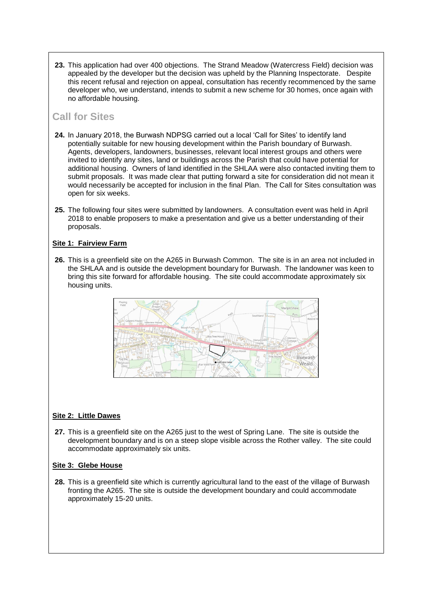**23.** This application had over 400 objections. The Strand Meadow (Watercress Field) decision was appealed by the developer but the decision was upheld by the Planning Inspectorate. Despite this recent refusal and rejection on appeal, consultation has recently recommenced by the same developer who, we understand, intends to submit a new scheme for 30 homes, once again with no affordable housing.

# **Call for Sites**

- **24.** In January 2018, the Burwash NDPSG carried out a local 'Call for Sites' to identify land potentially suitable for new housing development within the Parish boundary of Burwash. Agents, developers, landowners, businesses, relevant local interest groups and others were invited to identify any sites, land or buildings across the Parish that could have potential for additional housing. Owners of land identified in the SHLAA were also contacted inviting them to submit proposals. It was made clear that putting forward a site for consideration did not mean it would necessarily be accepted for inclusion in the final Plan. The Call for Sites consultation was open for six weeks.
- **25.** The following four sites were submitted by landowners. A consultation event was held in April 2018 to enable proposers to make a presentation and give us a better understanding of their proposals.

#### **Site 1: Fairview Farm**

**26.** This is a greenfield site on the A265 in Burwash Common. The site is in an area not included in the SHLAA and is outside the development boundary for Burwash. The landowner was keen to bring this site forward for affordable housing. The site could accommodate approximately six housing units.



#### **Site 2: Little Dawes**

**27.** This is a greenfield site on the A265 just to the west of Spring Lane. The site is outside the development boundary and is on a steep slope visible across the Rother valley. The site could accommodate approximately six units.

#### **Site 3: Glebe House**

**28.** This is a greenfield site which is currently agricultural land to the east of the village of Burwash fronting the A265. The site is outside the development boundary and could accommodate approximately 15-20 units.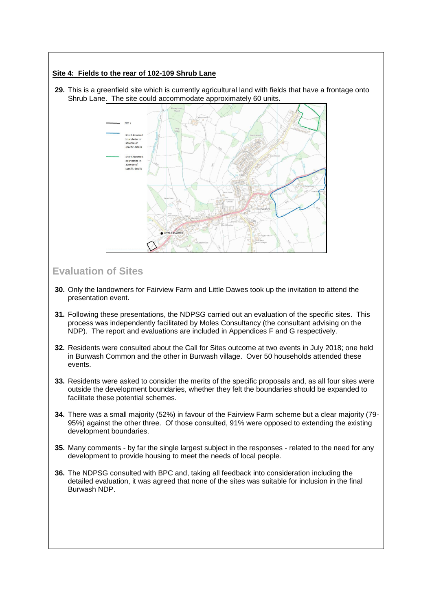#### **Site 4: Fields to the rear of 102-109 Shrub Lane**

**29.** This is a greenfield site which is currently agricultural land with fields that have a frontage onto Shrub Lane. The site could accommodate approximately 60 units.



# **Evaluation of Sites**

- **30.** Only the landowners for Fairview Farm and Little Dawes took up the invitation to attend the presentation event.
- **31.** Following these presentations, the NDPSG carried out an evaluation of the specific sites. This process was independently facilitated by Moles Consultancy (the consultant advising on the NDP). The report and evaluations are included in Appendices F and G respectively.
- **32.** Residents were consulted about the Call for Sites outcome at two events in July 2018; one held in Burwash Common and the other in Burwash village. Over 50 households attended these events.
- **33.** Residents were asked to consider the merits of the specific proposals and, as all four sites were outside the development boundaries, whether they felt the boundaries should be expanded to facilitate these potential schemes.
- **34.** There was a small majority (52%) in favour of the Fairview Farm scheme but a clear majority (79- 95%) against the other three. Of those consulted, 91% were opposed to extending the existing development boundaries.
- **35.** Many comments by far the single largest subject in the responses related to the need for any development to provide housing to meet the needs of local people.
- **36.** The NDPSG consulted with BPC and, taking all feedback into consideration including the detailed evaluation, it was agreed that none of the sites was suitable for inclusion in the final Burwash NDP.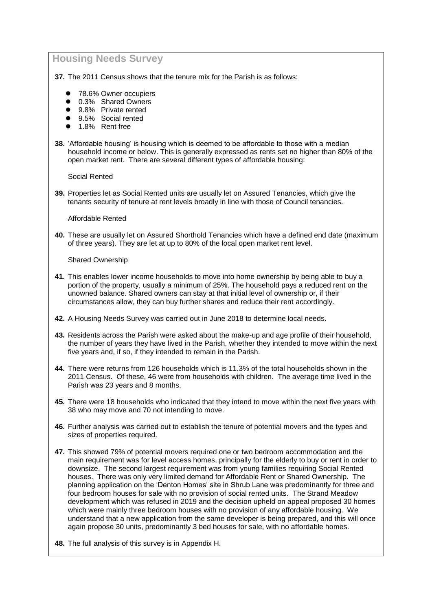### **Housing Needs Survey**

**37.** The 2011 Census shows that the tenure mix for the Parish is as follows:

- ⚫ 78.6% Owner occupiers
- 0.3% Shared Owners
- 9.8% Private rented
- 9.5% Social rented
- ⚫ 1.8% Rent free
- **38.** 'Affordable housing' is housing which is deemed to be affordable to those with a median household income or below. This is generally expressed as rents set no higher than 80% of the open market rent. There are several different types of affordable housing:

Social Rented

**39.** Properties let as Social Rented units are usually let on Assured Tenancies, which give the tenants security of tenure at rent levels broadly in line with those of Council tenancies.

Affordable Rented

**40.** These are usually let on Assured Shorthold Tenancies which have a defined end date (maximum of three years). They are let at up to 80% of the local open market rent level.

Shared Ownership

- **41.** This enables lower income households to move into home ownership by being able to buy a portion of the property, usually a minimum of 25%. The household pays a reduced rent on the unowned balance. Shared owners can stay at that initial level of ownership or, if their circumstances allow, they can buy further shares and reduce their rent accordingly.
- **42.** A Housing Needs Survey was carried out in June 2018 to determine local needs.
- **43.** Residents across the Parish were asked about the make-up and age profile of their household, the number of years they have lived in the Parish, whether they intended to move within the next five years and, if so, if they intended to remain in the Parish.
- **44.** There were returns from 126 households which is 11.3% of the total households shown in the 2011 Census. Of these, 46 were from households with children. The average time lived in the Parish was 23 years and 8 months.
- **45.** There were 18 households who indicated that they intend to move within the next five years with 38 who may move and 70 not intending to move.
- **46.** Further analysis was carried out to establish the tenure of potential movers and the types and sizes of properties required.
- **47.** This showed 79% of potential movers required one or two bedroom accommodation and the main requirement was for level access homes, principally for the elderly to buy or rent in order to downsize. The second largest requirement was from young families requiring Social Rented houses. There was only very limited demand for Affordable Rent or Shared Ownership. The planning application on the 'Denton Homes' site in Shrub Lane was predominantly for three and four bedroom houses for sale with no provision of social rented units. The Strand Meadow development which was refused in 2019 and the decision upheld on appeal proposed 30 homes which were mainly three bedroom houses with no provision of any affordable housing. We understand that a new application from the same developer is being prepared, and this will once again propose 30 units, predominantly 3 bed houses for sale, with no affordable homes.
- **48.** The full analysis of this survey is in Appendix H.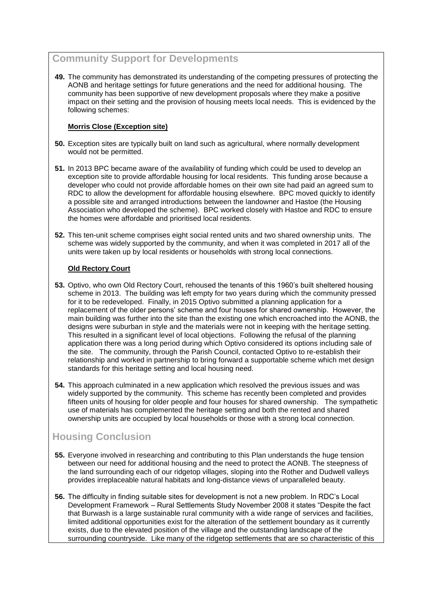# **Community Support for Developments**

**49.** The community has demonstrated its understanding of the competing pressures of protecting the AONB and heritage settings for future generations and the need for additional housing. The community has been supportive of new development proposals where they make a positive impact on their setting and the provision of housing meets local needs. This is evidenced by the following schemes:

#### **Morris Close (Exception site)**

- **50.** Exception sites are typically built on land such as agricultural, where normally development would not be permitted.
- **51.** In 2013 BPC became aware of the availability of funding which could be used to develop an exception site to provide affordable housing for local residents. This funding arose because a developer who could not provide affordable homes on their own site had paid an agreed sum to RDC to allow the development for affordable housing elsewhere. BPC moved quickly to identify a possible site and arranged introductions between the landowner and Hastoe (the Housing Association who developed the scheme). BPC worked closely with Hastoe and RDC to ensure the homes were affordable and prioritised local residents.
- **52.** This ten-unit scheme comprises eight social rented units and two shared ownership units. The scheme was widely supported by the community, and when it was completed in 2017 all of the units were taken up by local residents or households with strong local connections.

#### **Old Rectory Court**

- **53.** Optivo, who own Old Rectory Court, rehoused the tenants of this 1960's built sheltered housing scheme in 2013. The building was left empty for two years during which the community pressed for it to be redeveloped. Finally, in 2015 Optivo submitted a planning application for a replacement of the older persons' scheme and four houses for shared ownership. However, the main building was further into the site than the existing one which encroached into the AONB, the designs were suburban in style and the materials were not in keeping with the heritage setting. This resulted in a significant level of local objections. Following the refusal of the planning application there was a long period during which Optivo considered its options including sale of the site. The community, through the Parish Council, contacted Optivo to re-establish their relationship and worked in partnership to bring forward a supportable scheme which met design standards for this heritage setting and local housing need.
- **54.** This approach culminated in a new application which resolved the previous issues and was widely supported by the community. This scheme has recently been completed and provides fifteen units of housing for older people and four houses for shared ownership. The sympathetic use of materials has complemented the heritage setting and both the rented and shared ownership units are occupied by local households or those with a strong local connection.

# **Housing Conclusion**

- **55.** Everyone involved in researching and contributing to this Plan understands the huge tension between our need for additional housing and the need to protect the AONB. The steepness of the land surrounding each of our ridgetop villages, sloping into the Rother and Dudwell valleys provides irreplaceable natural habitats and long-distance views of unparalleled beauty.
- **56.** The difficulty in finding suitable sites for development is not a new problem. In RDC's Local Development Framework – Rural Settlements Study November 2008 it states "Despite the fact that Burwash is a large sustainable rural community with a wide range of services and facilities, limited additional opportunities exist for the alteration of the settlement boundary as it currently exists, due to the elevated position of the village and the outstanding landscape of the surrounding countryside. Like many of the ridgetop settlements that are so characteristic of this